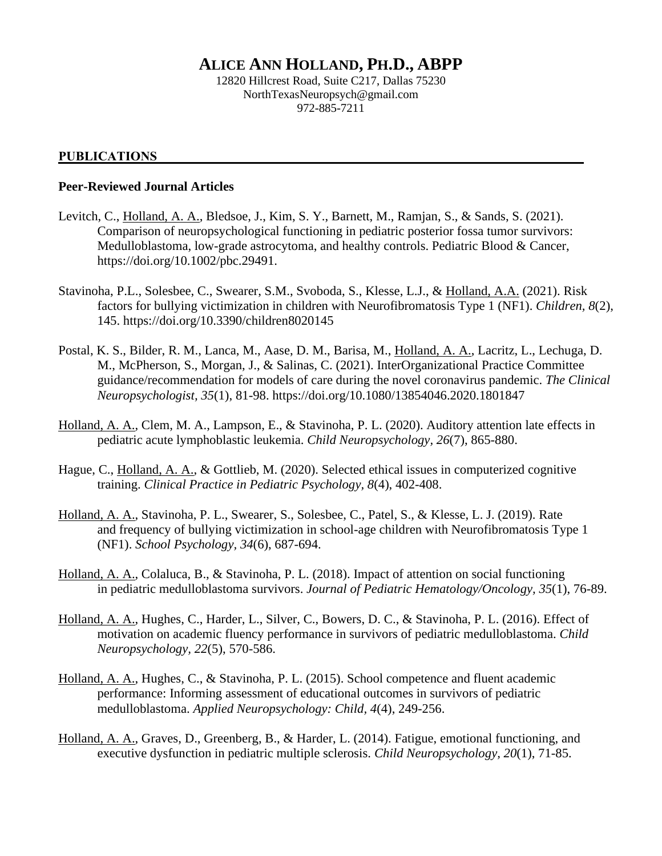# **ALICE ANN HOLLAND, PH.D., ABPP**

12820 Hillcrest Road, Suite C217, Dallas 75230 NorthTexasNeuropsych@gmail.com 972-885-7211

#### **PUBLICATIONS**

#### **Peer-Reviewed Journal Articles**

- Levitch, C., Holland, A. A., Bledsoe, J., Kim, S. Y., Barnett, M., Ramjan, S., & Sands, S. (2021). Comparison of neuropsychological functioning in pediatric posterior fossa tumor survivors: Medulloblastoma, low-grade astrocytoma, and healthy controls. Pediatric Blood & Cancer, https://doi.org/10.1002/pbc.29491.
- Stavinoha, P.L., Solesbee, C., Swearer, S.M., Svoboda, S., Klesse, L.J., & Holland, A.A. (2021). Risk factors for bullying victimization in children with Neurofibromatosis Type 1 (NF1). *Children, 8*(2), 145. https://doi.org/10.3390/children8020145
- Postal, K. S., Bilder, R. M., Lanca, M., Aase, D. M., Barisa, M., Holland, A. A., Lacritz, L., Lechuga, D. M., McPherson, S., Morgan, J., & Salinas, C. (2021). InterOrganizational Practice Committee guidance/recommendation for models of care during the novel coronavirus pandemic. *The Clinical Neuropsychologist, 35*(1), 81-98. https://doi.org/10.1080/13854046.2020.1801847
- Holland, A. A., Clem, M. A., Lampson, E., & Stavinoha, P. L. (2020). Auditory attention late effects in pediatric acute lymphoblastic leukemia. *Child Neuropsychology, 26*(7), 865-880.
- Hague, C., Holland, A. A., & Gottlieb, M. (2020). Selected ethical issues in computerized cognitive training. *Clinical Practice in Pediatric Psychology, 8*(4), 402-408.
- Holland, A. A., Stavinoha, P. L., Swearer, S., Solesbee, C., Patel, S., & Klesse, L. J. (2019). Rate and frequency of bullying victimization in school-age children with Neurofibromatosis Type 1 (NF1). *School Psychology, 34*(6), 687-694.
- Holland, A. A., Colaluca, B., & Stavinoha, P. L. (2018). Impact of attention on social functioning in pediatric medulloblastoma survivors. *Journal of Pediatric Hematology/Oncology, 35*(1), 76-89.
- Holland, A. A., Hughes, C., Harder, L., Silver, C., Bowers, D. C., & Stavinoha, P. L. (2016). Effect of motivation on academic fluency performance in survivors of pediatric medulloblastoma. *Child Neuropsychology, 22*(5), 570-586.
- Holland, A. A., Hughes, C., & Stavinoha, P. L. (2015). School competence and fluent academic performance: Informing assessment of educational outcomes in survivors of pediatric medulloblastoma. *Applied Neuropsychology: Child, 4*(4), 249-256.
- Holland, A. A., Graves, D., Greenberg, B., & Harder, L. (2014). Fatigue, emotional functioning, and executive dysfunction in pediatric multiple sclerosis. *Child Neuropsychology, 20*(1), 71-85.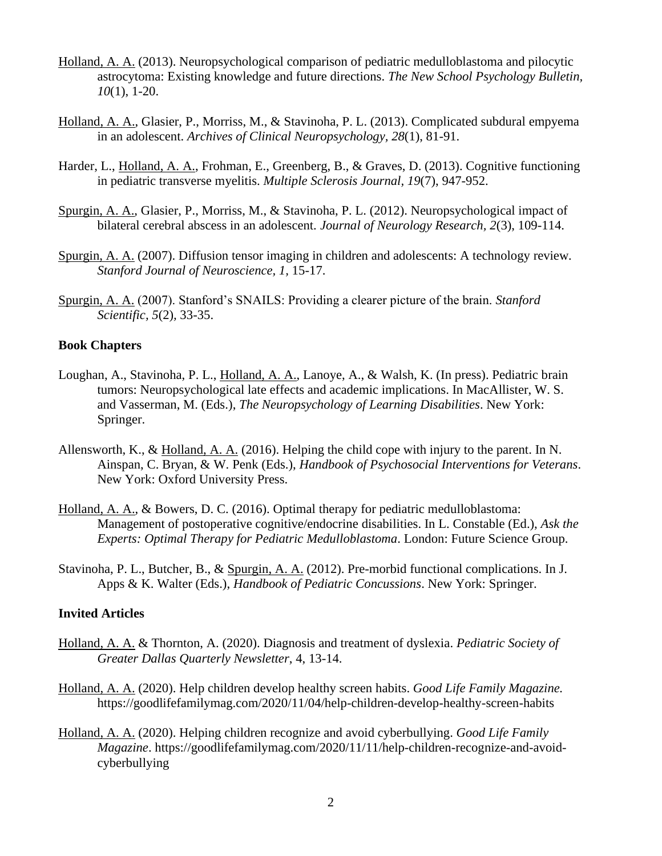- Holland, A. A. (2013). Neuropsychological comparison of pediatric medulloblastoma and pilocytic astrocytoma: Existing knowledge and future directions. *The New School Psychology Bulletin, 10*(1), 1-20.
- Holland, A. A., Glasier, P., Morriss, M., & Stavinoha, P. L. (2013). Complicated subdural empyema in an adolescent. *Archives of Clinical Neuropsychology, 28*(1), 81-91.
- Harder, L., Holland, A. A., Frohman, E., Greenberg, B., & Graves, D. (2013). Cognitive functioning in pediatric transverse myelitis. *Multiple Sclerosis Journal, 19*(7), 947-952.
- Spurgin, A. A., Glasier, P., Morriss, M., & Stavinoha, P. L. (2012). Neuropsychological impact of bilateral cerebral abscess in an adolescent. *Journal of Neurology Research, 2*(3), 109-114.
- Spurgin, A. A. (2007). Diffusion tensor imaging in children and adolescents: A technology review*. Stanford Journal of Neuroscience, 1,* 15-17.
- Spurgin, A. A. (2007). Stanford's SNAILS: Providing a clearer picture of the brain. *Stanford Scientific, 5*(2)*,* 33-35.

## **Book Chapters**

- Loughan, A., Stavinoha, P. L., Holland, A. A., Lanoye, A., & Walsh, K. (In press). Pediatric brain tumors: Neuropsychological late effects and academic implications. In MacAllister, W. S. and Vasserman, M. (Eds.), *The Neuropsychology of Learning Disabilities*. New York: Springer.
- Allensworth, K., & Holland, A. A. (2016). Helping the child cope with injury to the parent. In N. Ainspan, C. Bryan, & W. Penk (Eds.), *Handbook of Psychosocial Interventions for Veterans*. New York: Oxford University Press.
- Holland, A. A., & Bowers, D. C. (2016). Optimal therapy for pediatric medulloblastoma: Management of postoperative cognitive/endocrine disabilities. In L. Constable (Ed.), *Ask the Experts: Optimal Therapy for Pediatric Medulloblastoma*. London: Future Science Group.
- Stavinoha, P. L., Butcher, B., & Spurgin, A. A. (2012). Pre-morbid functional complications. In J. Apps & K. Walter (Eds.), *Handbook of Pediatric Concussions*. New York: Springer.

### **Invited Articles**

- Holland, A. A. & Thornton, A. (2020). Diagnosis and treatment of dyslexia. *Pediatric Society of Greater Dallas Quarterly Newsletter*, 4, 13-14.
- Holland, A. A. (2020). Help children develop healthy screen habits. *Good Life Family Magazine.*  https://goodlifefamilymag.com/2020/11/04/help-children-develop-healthy-screen-habits
- Holland, A. A. (2020). Helping children recognize and avoid cyberbullying. *Good Life Family Magazine*. https://goodlifefamilymag.com/2020/11/11/help-children-recognize-and-avoidcyberbullying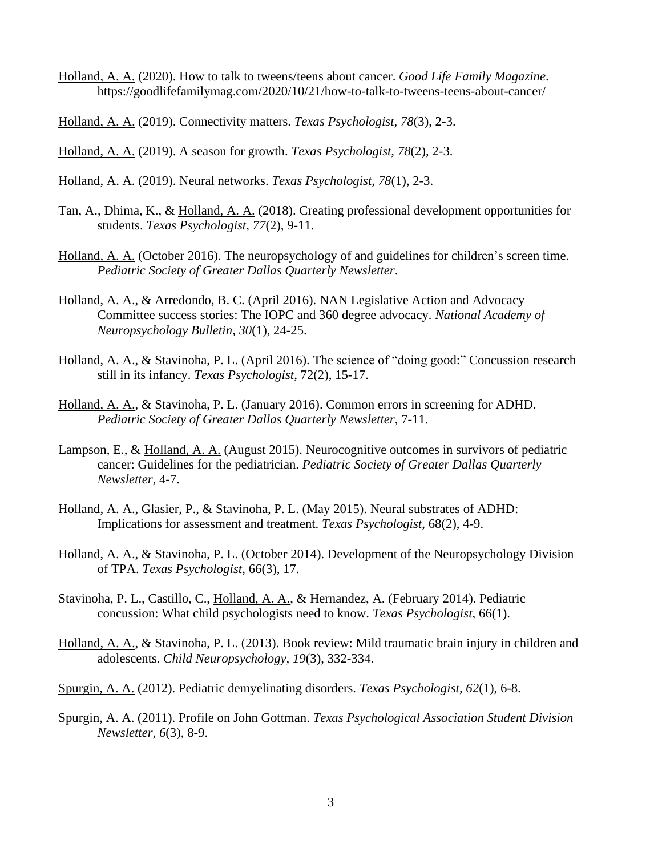- Holland, A. A. (2020). How to talk to tweens/teens about cancer. *Good Life Family Magazine*. https://goodlifefamilymag.com/2020/10/21/how-to-talk-to-tweens-teens-about-cancer/
- Holland, A. A. (2019). Connectivity matters. *Texas Psychologist, 78*(3), 2-3.
- Holland, A. A. (2019). A season for growth. *Texas Psychologist, 78*(2), 2-3.
- Holland, A. A. (2019). Neural networks. *Texas Psychologist, 78*(1), 2-3.
- Tan, A., Dhima, K., & Holland, A. A. (2018). Creating professional development opportunities for students. *Texas Psychologist, 77*(2), 9-11.
- Holland, A. A. (October 2016). The neuropsychology of and guidelines for children's screen time. *Pediatric Society of Greater Dallas Quarterly Newsletter*.
- Holland, A. A., & Arredondo, B. C. (April 2016). NAN Legislative Action and Advocacy Committee success stories: The IOPC and 360 degree advocacy. *National Academy of Neuropsychology Bulletin, 30*(1), 24-25.
- Holland, A. A., & Stavinoha, P. L. (April 2016). The science of "doing good:" Concussion research still in its infancy. *Texas Psychologist*, 72(2), 15-17.
- Holland, A. A., & Stavinoha, P. L. (January 2016). Common errors in screening for ADHD. *Pediatric Society of Greater Dallas Quarterly Newsletter*, 7-11.
- Lampson, E., & Holland, A. A. (August 2015). Neurocognitive outcomes in survivors of pediatric cancer: Guidelines for the pediatrician. *Pediatric Society of Greater Dallas Quarterly Newsletter*, 4-7.
- Holland, A. A., Glasier, P., & Stavinoha, P. L. (May 2015). Neural substrates of ADHD: Implications for assessment and treatment. *Texas Psychologist*, 68(2), 4-9.
- Holland, A. A., & Stavinoha, P. L. (October 2014). Development of the Neuropsychology Division of TPA. *Texas Psychologist*, 66(3), 17.
- Stavinoha, P. L., Castillo, C., Holland, A. A., & Hernandez, A. (February 2014). Pediatric concussion: What child psychologists need to know. *Texas Psychologist,* 66(1).
- Holland, A. A., & Stavinoha, P. L. (2013). Book review: Mild traumatic brain injury in children and adolescents. *Child Neuropsychology, 19*(3), 332-334.
- Spurgin, A. A. (2012). Pediatric demyelinating disorders. *Texas Psychologist, 62*(1), 6-8.
- Spurgin, A. A. (2011). Profile on John Gottman. *Texas Psychological Association Student Division Newsletter, 6*(3), 8-9.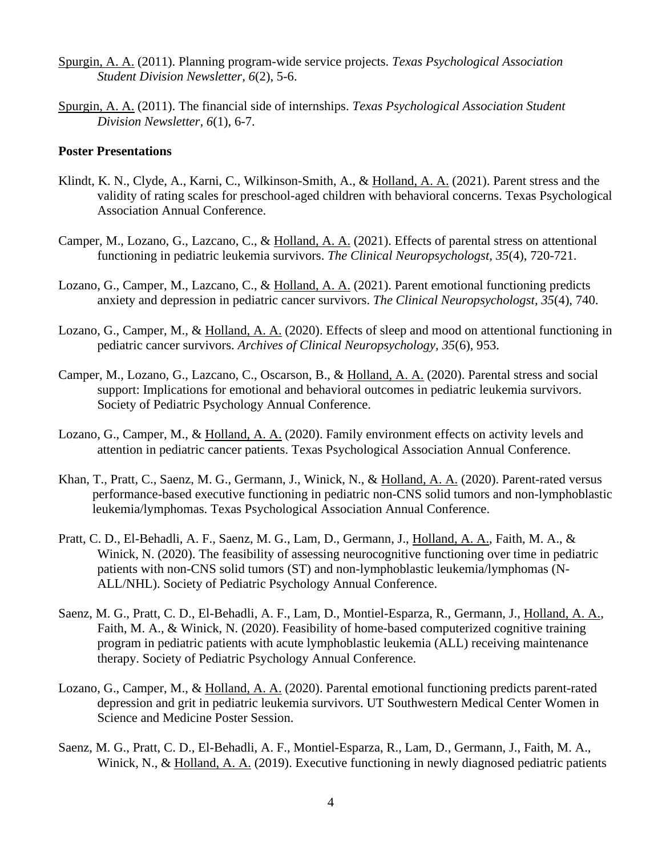- Spurgin, A. A. (2011). Planning program-wide service projects. *Texas Psychological Association Student Division Newsletter, 6*(2), 5-6.
- Spurgin, A. A. (2011). The financial side of internships. *Texas Psychological Association Student Division Newsletter, 6*(1), 6-7.

#### **Poster Presentations**

- Klindt, K. N., Clyde, A., Karni, C., Wilkinson-Smith, A., & Holland, A. A. (2021). Parent stress and the validity of rating scales for preschool-aged children with behavioral concerns. Texas Psychological Association Annual Conference.
- Camper, M., Lozano, G., Lazcano, C., & Holland, A. A. (2021). Effects of parental stress on attentional functioning in pediatric leukemia survivors. *The Clinical Neuropsychologst, 35*(4), 720-721.
- Lozano, G., Camper, M., Lazcano, C., & Holland, A. A. (2021). Parent emotional functioning predicts anxiety and depression in pediatric cancer survivors. *The Clinical Neuropsychologst, 35*(4), 740.
- Lozano, G., Camper, M., & Holland, A. A. (2020). Effects of sleep and mood on attentional functioning in pediatric cancer survivors. *Archives of Clinical Neuropsychology, 35*(6), 953.
- Camper, M., Lozano, G., Lazcano, C., Oscarson, B., & Holland, A. A. (2020). Parental stress and social support: Implications for emotional and behavioral outcomes in pediatric leukemia survivors. Society of Pediatric Psychology Annual Conference.
- Lozano, G., Camper, M., & Holland, A. A. (2020). Family environment effects on activity levels and attention in pediatric cancer patients. Texas Psychological Association Annual Conference.
- Khan, T., Pratt, C., Saenz, M. G., Germann, J., Winick, N., & Holland, A. A. (2020). Parent-rated versus performance-based executive functioning in pediatric non-CNS solid tumors and non-lymphoblastic leukemia/lymphomas. Texas Psychological Association Annual Conference.
- Pratt, C. D., El-Behadli, A. F., Saenz, M. G., Lam, D., Germann, J., Holland, A. A., Faith, M. A., & Winick, N. (2020). The feasibility of assessing neurocognitive functioning over time in pediatric patients with non-CNS solid tumors (ST) and non-lymphoblastic leukemia/lymphomas (N-ALL/NHL). Society of Pediatric Psychology Annual Conference.
- Saenz, M. G., Pratt, C. D., El-Behadli, A. F., Lam, D., Montiel-Esparza, R., Germann, J., Holland, A. A., Faith, M. A., & Winick, N. (2020). Feasibility of home-based computerized cognitive training program in pediatric patients with acute lymphoblastic leukemia (ALL) receiving maintenance therapy. Society of Pediatric Psychology Annual Conference.
- Lozano, G., Camper, M., & Holland, A. A. (2020). Parental emotional functioning predicts parent-rated depression and grit in pediatric leukemia survivors. UT Southwestern Medical Center Women in Science and Medicine Poster Session.
- Saenz, M. G., Pratt, C. D., El-Behadli, A. F., Montiel-Esparza, R., Lam, D., Germann, J., Faith, M. A., Winick, N., & Holland, A. A. (2019). Executive functioning in newly diagnosed pediatric patients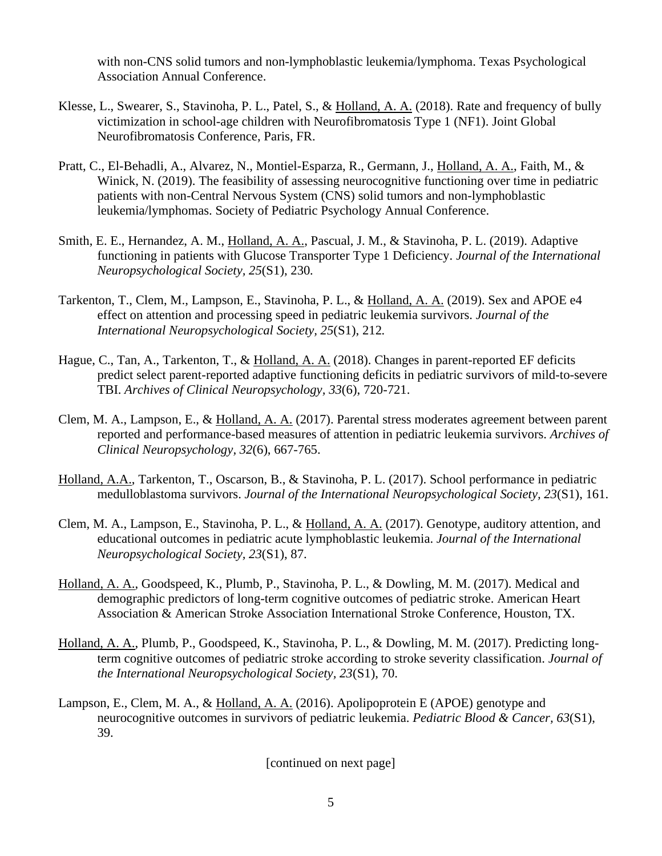with non-CNS solid tumors and non-lymphoblastic leukemia/lymphoma. Texas Psychological Association Annual Conference.

- Klesse, L., Swearer, S., Stavinoha, P. L., Patel, S., & Holland, A. A. (2018). Rate and frequency of bully victimization in school-age children with Neurofibromatosis Type 1 (NF1). Joint Global Neurofibromatosis Conference, Paris, FR.
- Pratt, C., El-Behadli, A., Alvarez, N., Montiel-Esparza, R., Germann, J., Holland, A. A., Faith, M., & Winick, N. (2019). The feasibility of assessing neurocognitive functioning over time in pediatric patients with non-Central Nervous System (CNS) solid tumors and non-lymphoblastic leukemia/lymphomas. Society of Pediatric Psychology Annual Conference.
- Smith, E. E., Hernandez, A. M., Holland, A. A., Pascual, J. M., & Stavinoha, P. L. (2019). Adaptive functioning in patients with Glucose Transporter Type 1 Deficiency. *Journal of the International Neuropsychological Society, 25*(S1), 230*.*
- Tarkenton, T., Clem, M., Lampson, E., Stavinoha, P. L., & Holland, A. A. (2019). Sex and APOE e4 effect on attention and processing speed in pediatric leukemia survivors. *Journal of the International Neuropsychological Society, 25*(S1), 212*.*
- Hague, C., Tan, A., Tarkenton, T., & Holland, A. A. (2018). Changes in parent-reported EF deficits predict select parent-reported adaptive functioning deficits in pediatric survivors of mild-to-severe TBI. *Archives of Clinical Neuropsychology, 33*(6), 720-721.
- Clem, M. A., Lampson, E., & Holland, A. A. (2017). Parental stress moderates agreement between parent reported and performance-based measures of attention in pediatric leukemia survivors. *Archives of Clinical Neuropsychology, 32*(6), 667-765.
- Holland, A.A., Tarkenton, T., Oscarson, B., & Stavinoha, P. L. (2017). School performance in pediatric medulloblastoma survivors. *Journal of the International Neuropsychological Society, 23*(S1), 161.
- Clem, M. A., Lampson, E., Stavinoha, P. L., & Holland, A. A. (2017). Genotype, auditory attention, and educational outcomes in pediatric acute lymphoblastic leukemia. *Journal of the International Neuropsychological Society, 23*(S1), 87.
- Holland, A. A., Goodspeed, K., Plumb, P., Stavinoha, P. L., & Dowling, M. M. (2017). Medical and demographic predictors of long-term cognitive outcomes of pediatric stroke. American Heart Association & American Stroke Association International Stroke Conference, Houston, TX.
- Holland, A. A., Plumb, P., Goodspeed, K., Stavinoha, P. L., & Dowling, M. M. (2017). Predicting longterm cognitive outcomes of pediatric stroke according to stroke severity classification. *Journal of the International Neuropsychological Society, 23*(S1), 70.
- Lampson, E., Clem, M. A., & Holland, A. A. (2016). Apolipoprotein E (APOE) genotype and neurocognitive outcomes in survivors of pediatric leukemia. *Pediatric Blood & Cancer, 63*(S1), 39.

[continued on next page]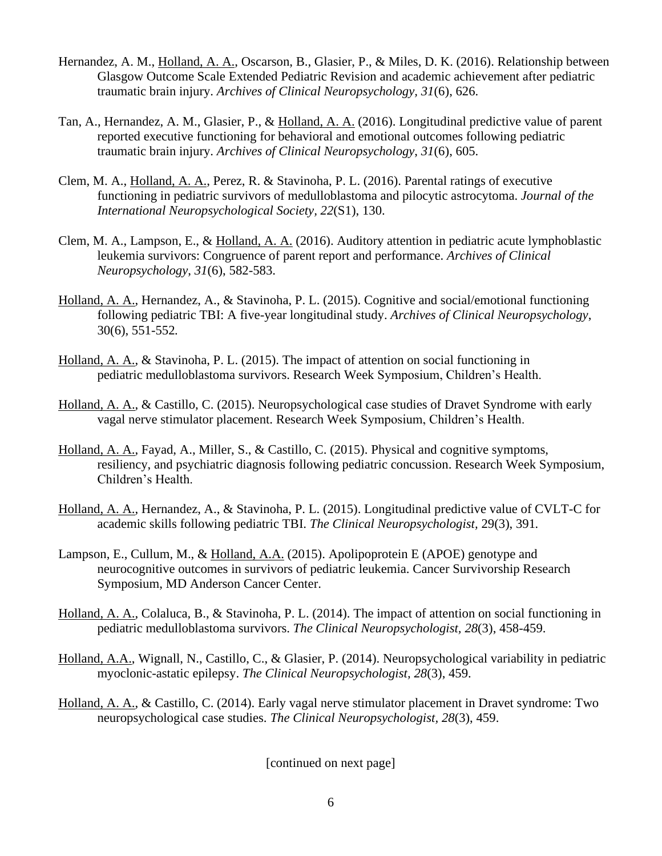- Hernandez, A. M., Holland, A. A., Oscarson, B., Glasier, P., & Miles, D. K. (2016). Relationship between Glasgow Outcome Scale Extended Pediatric Revision and academic achievement after pediatric traumatic brain injury. *Archives of Clinical Neuropsychology, 31*(6), 626.
- Tan, A., Hernandez, A. M., Glasier, P., & Holland, A. A. (2016). Longitudinal predictive value of parent reported executive functioning for behavioral and emotional outcomes following pediatric traumatic brain injury. *Archives of Clinical Neuropsychology*, *31*(6), 605.
- Clem, M. A., Holland, A. A., Perez, R. & Stavinoha, P. L. (2016). Parental ratings of executive functioning in pediatric survivors of medulloblastoma and pilocytic astrocytoma. *Journal of the International Neuropsychological Society, 22*(S1), 130.
- Clem, M. A., Lampson, E., & Holland, A. A. (2016). Auditory attention in pediatric acute lymphoblastic leukemia survivors: Congruence of parent report and performance. *Archives of Clinical Neuropsychology*, *31*(6), 582-583.
- Holland, A. A., Hernandez, A., & Stavinoha, P. L. (2015). Cognitive and social/emotional functioning following pediatric TBI: A five-year longitudinal study. *Archives of Clinical Neuropsychology*, 30(6), 551-552*.*
- Holland, A. A., & Stavinoha, P. L. (2015). The impact of attention on social functioning in pediatric medulloblastoma survivors. Research Week Symposium, Children's Health.
- Holland, A. A., & Castillo, C. (2015). Neuropsychological case studies of Dravet Syndrome with early vagal nerve stimulator placement. Research Week Symposium, Children's Health.
- Holland, A. A., Fayad, A., Miller, S., & Castillo, C. (2015). Physical and cognitive symptoms, resiliency, and psychiatric diagnosis following pediatric concussion. Research Week Symposium, Children's Health.
- Holland, A. A., Hernandez, A., & Stavinoha, P. L. (2015). Longitudinal predictive value of CVLT-C for academic skills following pediatric TBI. *The Clinical Neuropsychologist,* 29(3), 391*.*
- Lampson, E., Cullum, M., & Holland, A.A. (2015). Apolipoprotein E (APOE) genotype and neurocognitive outcomes in survivors of pediatric leukemia. Cancer Survivorship Research Symposium, MD Anderson Cancer Center.
- Holland, A. A., Colaluca, B., & Stavinoha, P. L. (2014). The impact of attention on social functioning in pediatric medulloblastoma survivors. *The Clinical Neuropsychologist, 28*(3), 458-459.
- Holland, A.A., Wignall, N., Castillo, C., & Glasier, P. (2014). Neuropsychological variability in pediatric myoclonic-astatic epilepsy. *The Clinical Neuropsychologist, 28*(3), 459.
- Holland, A. A., & Castillo, C. (2014). Early vagal nerve stimulator placement in Dravet syndrome: Two neuropsychological case studies. *The Clinical Neuropsychologist, 28*(3), 459.

[continued on next page]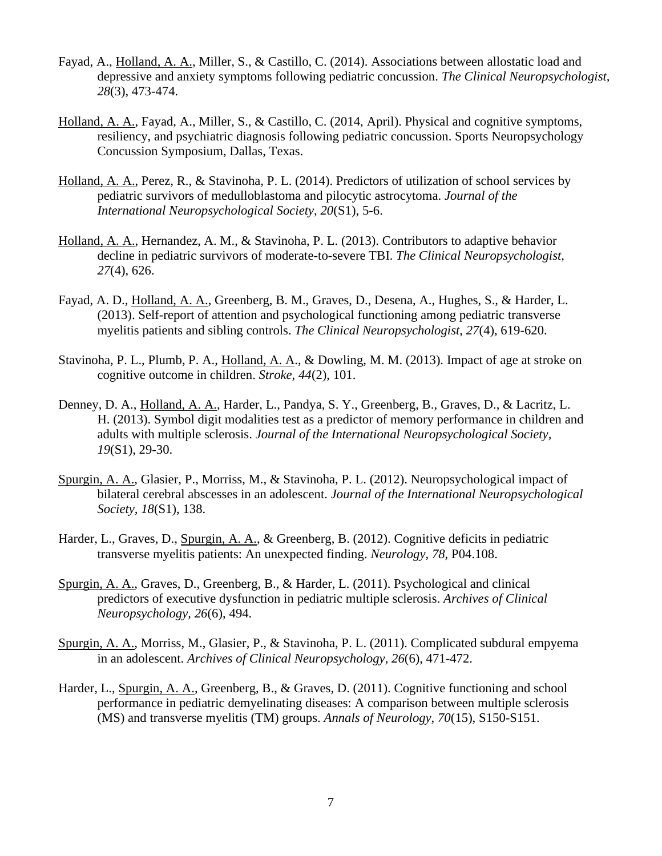- Fayad, A., Holland, A. A., Miller, S., & Castillo, C. (2014). Associations between allostatic load and depressive and anxiety symptoms following pediatric concussion. *The Clinical Neuropsychologist, 28*(3), 473-474.
- Holland, A. A., Fayad, A., Miller, S., & Castillo, C. (2014, April). Physical and cognitive symptoms, resiliency, and psychiatric diagnosis following pediatric concussion. Sports Neuropsychology Concussion Symposium, Dallas, Texas.
- Holland, A. A., Perez, R., & Stavinoha, P. L. (2014). Predictors of utilization of school services by pediatric survivors of medulloblastoma and pilocytic astrocytoma. *Journal of the International Neuropsychological Society, 20*(S1), 5-6.
- Holland, A. A., Hernandez, A. M., & Stavinoha, P. L. (2013). Contributors to adaptive behavior decline in pediatric survivors of moderate-to-severe TBI. *The Clinical Neuropsychologist, 27*(4), 626.
- Fayad, A. D., Holland, A. A., Greenberg, B. M., Graves, D., Desena, A., Hughes, S., & Harder, L. (2013). Self-report of attention and psychological functioning among pediatric transverse myelitis patients and sibling controls. *The Clinical Neuropsychologist, 27*(4), 619-620.
- Stavinoha, P. L., Plumb, P. A., Holland, A. A., & Dowling, M. M. (2013). Impact of age at stroke on cognitive outcome in children. *Stroke, 44*(2), 101.
- Denney, D. A., Holland, A. A., Harder, L., Pandya, S. Y., Greenberg, B., Graves, D., & Lacritz, L. H. (2013). Symbol digit modalities test as a predictor of memory performance in children and adults with multiple sclerosis. *Journal of the International Neuropsychological Society, 19*(S1), 29-30.
- Spurgin, A. A., Glasier, P., Morriss, M., & Stavinoha, P. L. (2012). Neuropsychological impact of bilateral cerebral abscesses in an adolescent. *Journal of the International Neuropsychological Society, 18*(S1), 138.
- Harder, L., Graves, D., Spurgin, A. A., & Greenberg, B. (2012). Cognitive deficits in pediatric transverse myelitis patients: An unexpected finding. *Neurology, 78*, P04.108.
- Spurgin, A. A., Graves, D., Greenberg, B., & Harder, L. (2011). Psychological and clinical predictors of executive dysfunction in pediatric multiple sclerosis. *Archives of Clinical Neuropsychology, 26*(6), 494.
- Spurgin, A. A., Morriss, M., Glasier, P., & Stavinoha, P. L. (2011). Complicated subdural empyema in an adolescent. *Archives of Clinical Neuropsychology, 26*(6), 471-472.
- Harder, L., Spurgin, A. A., Greenberg, B., & Graves, D. (2011). Cognitive functioning and school performance in pediatric demyelinating diseases: A comparison between multiple sclerosis (MS) and transverse myelitis (TM) groups. *Annals of Neurology, 70*(15), S150-S151.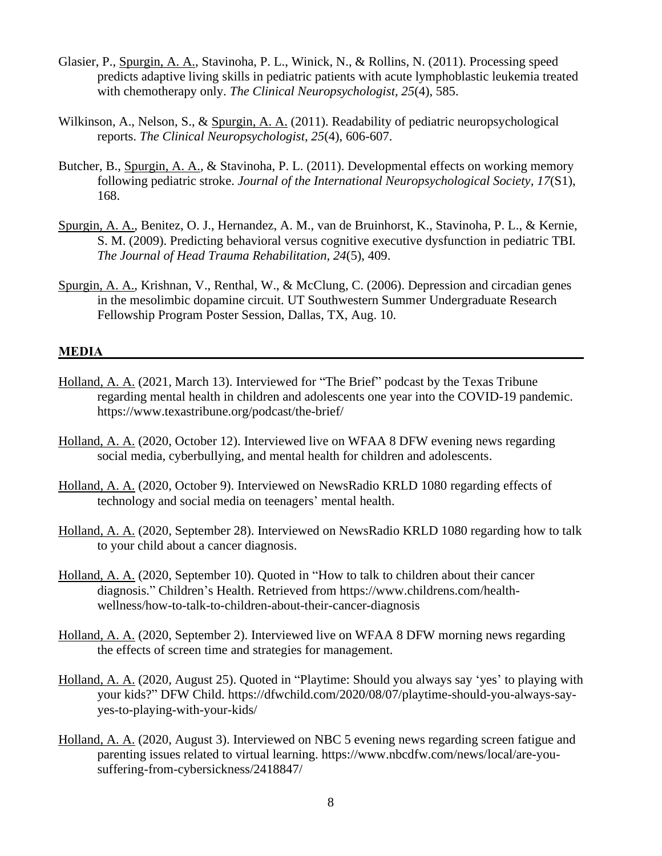- Glasier, P., Spurgin, A. A., Stavinoha, P. L., Winick, N., & Rollins, N. (2011). Processing speed predicts adaptive living skills in pediatric patients with acute lymphoblastic leukemia treated with chemotherapy only. *The Clinical Neuropsychologist, 25*(4), 585.
- Wilkinson, A., Nelson, S., & Spurgin, A. A. (2011). Readability of pediatric neuropsychological reports. *The Clinical Neuropsychologist, 25*(4), 606-607.
- Butcher, B., Spurgin, A. A., & Stavinoha, P. L. (2011). Developmental effects on working memory following pediatric stroke. *Journal of the International Neuropsychological Society, 17*(S1), 168.
- Spurgin, A. A., Benitez, O. J., Hernandez, A. M., van de Bruinhorst, K., Stavinoha, P. L., & Kernie, S. M. (2009). Predicting behavioral versus cognitive executive dysfunction in pediatric TBI*. The Journal of Head Trauma Rehabilitation, 24*(5), 409.
- Spurgin, A. A., Krishnan, V., Renthal, W., & McClung, C. (2006). Depression and circadian genes in the mesolimbic dopamine circuit. UT Southwestern Summer Undergraduate Research Fellowship Program Poster Session, Dallas, TX, Aug. 10.

## **MEDIA**

- Holland, A. A. (2021, March 13). Interviewed for "The Brief" podcast by the Texas Tribune regarding mental health in children and adolescents one year into the COVID-19 pandemic. https://www.texastribune.org/podcast/the-brief/
- Holland, A. A. (2020, October 12). Interviewed live on WFAA 8 DFW evening news regarding social media, cyberbullying, and mental health for children and adolescents.
- Holland, A. A. (2020, October 9). Interviewed on NewsRadio KRLD 1080 regarding effects of technology and social media on teenagers' mental health.
- Holland, A. A. (2020, September 28). Interviewed on NewsRadio KRLD 1080 regarding how to talk to your child about a cancer diagnosis.
- Holland, A. A. (2020, September 10). Quoted in "How to talk to children about their cancer diagnosis." Children's Health. Retrieved from https://www.childrens.com/healthwellness/how-to-talk-to-children-about-their-cancer-diagnosis
- Holland, A. A. (2020, September 2). Interviewed live on WFAA 8 DFW morning news regarding the effects of screen time and strategies for management.
- Holland, A. A. (2020, August 25). Quoted in "Playtime: Should you always say 'yes' to playing with your kids?" DFW Child. https://dfwchild.com/2020/08/07/playtime-should-you-always-sayyes-to-playing-with-your-kids/
- Holland, A. A. (2020, August 3). Interviewed on NBC 5 evening news regarding screen fatigue and parenting issues related to virtual learning. https://www.nbcdfw.com/news/local/are-yousuffering-from-cybersickness/2418847/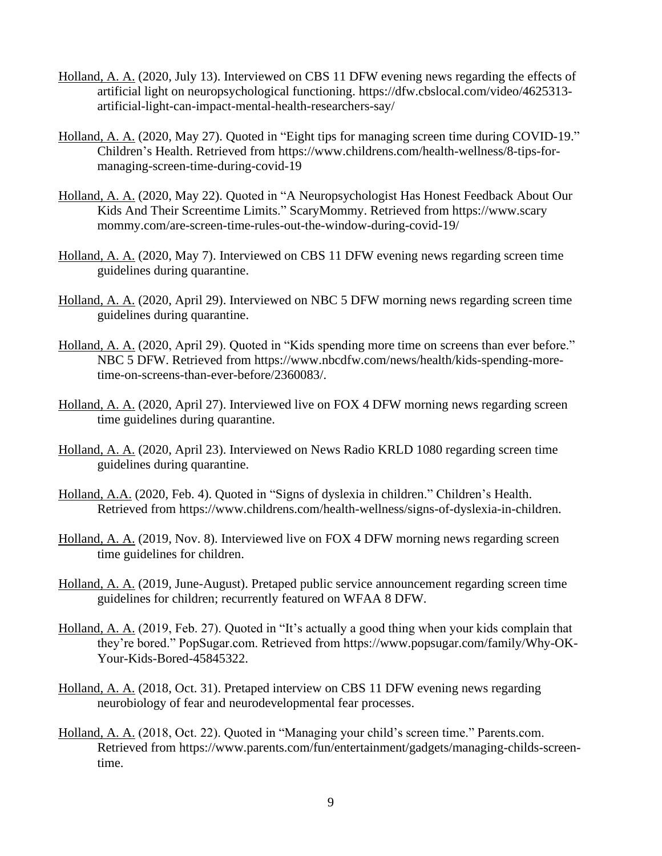- Holland, A. A. (2020, July 13). Interviewed on CBS 11 DFW evening news regarding the effects of artificial light on neuropsychological functioning. https://dfw.cbslocal.com/video/4625313 artificial-light-can-impact-mental-health-researchers-say/
- Holland, A. A. (2020, May 27). Quoted in "Eight tips for managing screen time during COVID-19." Children's Health. Retrieved from https://www.childrens.com/health-wellness/8-tips-formanaging-screen-time-during-covid-19
- Holland, A. A. (2020, May 22). Quoted in "A Neuropsychologist Has Honest Feedback About Our Kids And Their Screentime Limits." ScaryMommy. Retrieved from https://www.scary mommy.com/are-screen-time-rules-out-the-window-during-covid-19/
- Holland, A. A. (2020, May 7). Interviewed on CBS 11 DFW evening news regarding screen time guidelines during quarantine.
- Holland, A. A. (2020, April 29). Interviewed on NBC 5 DFW morning news regarding screen time guidelines during quarantine.
- Holland, A. A. (2020, April 29). Quoted in "Kids spending more time on screens than ever before." NBC 5 DFW. Retrieved from https://www.nbcdfw.com/news/health/kids-spending-moretime-on-screens-than-ever-before/2360083/.
- Holland, A. A. (2020, April 27). Interviewed live on FOX 4 DFW morning news regarding screen time guidelines during quarantine.
- Holland, A. A. (2020, April 23). Interviewed on News Radio KRLD 1080 regarding screen time guidelines during quarantine.
- Holland, A.A. (2020, Feb. 4). Quoted in "Signs of dyslexia in children." Children's Health. Retrieved from https://www.childrens.com/health-wellness/signs-of-dyslexia-in-children.
- Holland, A. A. (2019, Nov. 8). Interviewed live on FOX 4 DFW morning news regarding screen time guidelines for children.
- Holland, A. A. (2019, June-August). Pretaped public service announcement regarding screen time guidelines for children; recurrently featured on WFAA 8 DFW.
- Holland, A. A. (2019, Feb. 27). Quoted in "It's actually a good thing when your kids complain that they're bored." PopSugar.com. Retrieved from https://www.popsugar.com/family/Why-OK-Your-Kids-Bored-45845322.
- Holland, A. A. (2018, Oct. 31). Pretaped interview on CBS 11 DFW evening news regarding neurobiology of fear and neurodevelopmental fear processes.
- Holland, A. A. (2018, Oct. 22). Quoted in "Managing your child's screen time." Parents.com. Retrieved from https://www.parents.com/fun/entertainment/gadgets/managing-childs-screentime.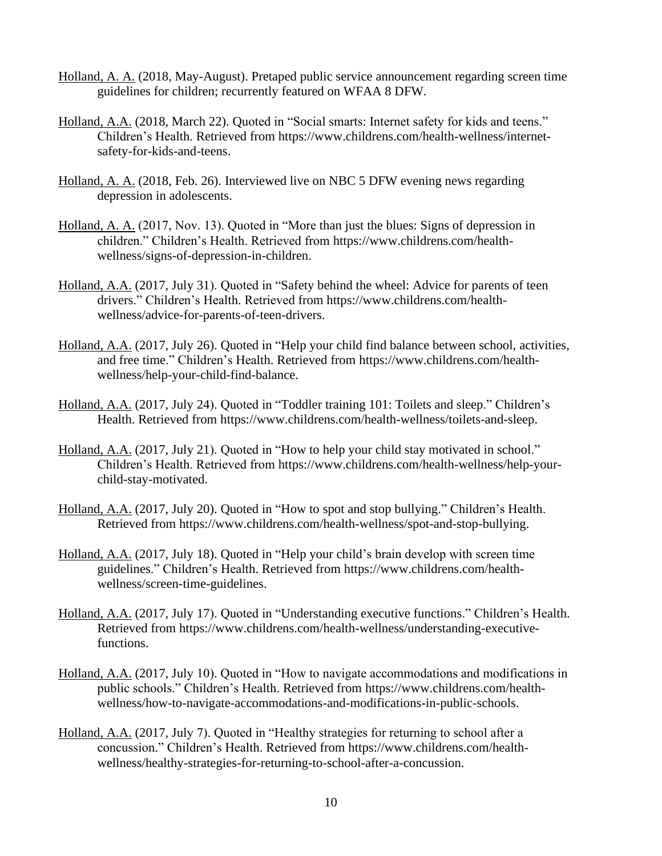- Holland, A. A. (2018, May-August). Pretaped public service announcement regarding screen time guidelines for children; recurrently featured on WFAA 8 DFW.
- Holland, A.A. (2018, March 22). Quoted in "Social smarts: Internet safety for kids and teens." Children's Health. Retrieved from https://www.childrens.com/health-wellness/internetsafety-for-kids-and-teens.
- Holland, A. A. (2018, Feb. 26). Interviewed live on NBC 5 DFW evening news regarding depression in adolescents.
- Holland, A. A. (2017, Nov. 13). Quoted in "More than just the blues: Signs of depression in children." Children's Health. Retrieved from https://www.childrens.com/healthwellness/signs-of-depression-in-children.
- Holland, A.A. (2017, July 31). Quoted in "Safety behind the wheel: Advice for parents of teen drivers." Children's Health. Retrieved from https://www.childrens.com/healthwellness/advice-for-parents-of-teen-drivers.
- Holland, A.A. (2017, July 26). Quoted in "Help your child find balance between school, activities, and free time." Children's Health. Retrieved from https://www.childrens.com/healthwellness/help-your-child-find-balance.
- Holland, A.A. (2017, July 24). Quoted in "Toddler training 101: Toilets and sleep." Children's Health. Retrieved from https://www.childrens.com/health-wellness/toilets-and-sleep.
- Holland, A.A. (2017, July 21). Quoted in "How to help your child stay motivated in school." Children's Health. Retrieved from https://www.childrens.com/health-wellness/help-yourchild-stay-motivated.
- Holland, A.A. (2017, July 20). Quoted in "How to spot and stop bullying." Children's Health. Retrieved from https://www.childrens.com/health-wellness/spot-and-stop-bullying.
- Holland, A.A. (2017, July 18). Quoted in "Help your child's brain develop with screen time guidelines." Children's Health. Retrieved from https://www.childrens.com/healthwellness/screen-time-guidelines.
- Holland, A.A. (2017, July 17). Quoted in "Understanding executive functions." Children's Health. Retrieved from https://www.childrens.com/health-wellness/understanding-executivefunctions.
- Holland, A.A. (2017, July 10). Quoted in "How to navigate accommodations and modifications in public schools." Children's Health. Retrieved from https://www.childrens.com/healthwellness/how-to-navigate-accommodations-and-modifications-in-public-schools.
- Holland, A.A. (2017, July 7). Quoted in "Healthy strategies for returning to school after a concussion." Children's Health. Retrieved from https://www.childrens.com/healthwellness/healthy-strategies-for-returning-to-school-after-a-concussion.